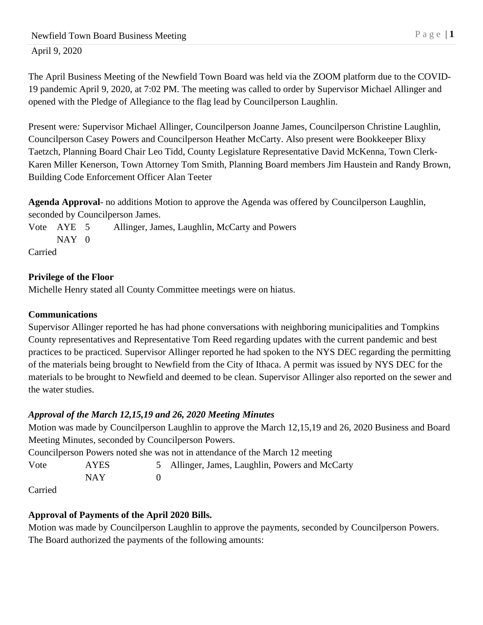The April Business Meeting of the Newfield Town Board was held via the ZOOM platform due to the COVID-19 pandemic April 9, 2020, at 7:02 PM. The meeting was called to order by Supervisor Michael Allinger and opened with the Pledge of Allegiance to the flag lead by Councilperson Laughlin.

Present were*:* Supervisor Michael Allinger, Councilperson Joanne James, Councilperson Christine Laughlin, Councilperson Casey Powers and Councilperson Heather McCarty. Also present were Bookkeeper Blixy Taetzch, Planning Board Chair Leo Tidd, County Legislature Representative David McKenna, Town Clerk-Karen Miller Kenerson, Town Attorney Tom Smith, Planning Board members Jim Haustein and Randy Brown, Building Code Enforcement Officer Alan Teeter

**Agenda Approval***-* no additions Motion to approve the Agenda was offered by Councilperson Laughlin, seconded by Councilperson James.

Vote AYE 5 Allinger, James, Laughlin, McCarty and Powers NAY 0

Carried

# **Privilege of the Floor**

Michelle Henry stated all County Committee meetings were on hiatus.

## **Communications**

Supervisor Allinger reported he has had phone conversations with neighboring municipalities and Tompkins County representatives and Representative Tom Reed regarding updates with the current pandemic and best practices to be practiced. Supervisor Allinger reported he had spoken to the NYS DEC regarding the permitting of the materials being brought to Newfield from the City of Ithaca. A permit was issued by NYS DEC for the materials to be brought to Newfield and deemed to be clean. Supervisor Allinger also reported on the sewer and the water studies.

# *Approval of the March 12,15,19 and 26, 2020 Meeting Minutes*

Motion was made by Councilperson Laughlin to approve the March 12,15,19 and 26, 2020 Business and Board Meeting Minutes, seconded by Councilperson Powers.

Councilperson Powers noted she was not in attendance of the March 12 meeting

Vote AYES 5 Allinger, James, Laughlin, Powers and McCarty NAY 0

Carried

# **Approval of Payments of the April 2020 Bills.**

Motion was made by Councilperson Laughlin to approve the payments, seconded by Councilperson Powers. The Board authorized the payments of the following amounts: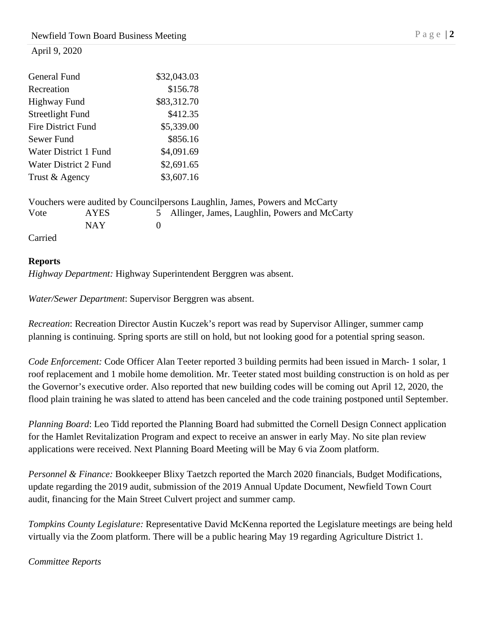| General Fund              | \$32,043.03 |
|---------------------------|-------------|
| Recreation                | \$156.78    |
| <b>Highway Fund</b>       | \$83,312.70 |
| Streetlight Fund          | \$412.35    |
| <b>Fire District Fund</b> | \$5,339.00  |
| Sewer Fund                | \$856.16    |
| Water District 1 Fund     | \$4,091.69  |
| Water District 2 Fund     | \$2,691.65  |
| Trust & Agency            | \$3,607.16  |
|                           |             |

|         |       | Vouchers were audited by Council persons Laughlin, James, Powers and McCarty |
|---------|-------|------------------------------------------------------------------------------|
| Vote    | AYES. | 5 Allinger, James, Laughlin, Powers and McCarty                              |
|         | NAY.  |                                                                              |
| Carried |       |                                                                              |

## **Reports**

*Highway Department:* Highway Superintendent Berggren was absent.

*Water/Sewer Department*: Supervisor Berggren was absent.

*Recreation*: Recreation Director Austin Kuczek's report was read by Supervisor Allinger, summer camp planning is continuing. Spring sports are still on hold, but not looking good for a potential spring season.

*Code Enforcement:* Code Officer Alan Teeter reported 3 building permits had been issued in March- 1 solar, 1 roof replacement and 1 mobile home demolition. Mr. Teeter stated most building construction is on hold as per the Governor's executive order. Also reported that new building codes will be coming out April 12, 2020, the flood plain training he was slated to attend has been canceled and the code training postponed until September.

*Planning Board*: Leo Tidd reported the Planning Board had submitted the Cornell Design Connect application for the Hamlet Revitalization Program and expect to receive an answer in early May. No site plan review applications were received. Next Planning Board Meeting will be May 6 via Zoom platform.

*Personnel & Finance:* Bookkeeper Blixy Taetzch reported the March 2020 financials, Budget Modifications, update regarding the 2019 audit, submission of the 2019 Annual Update Document, Newfield Town Court audit, financing for the Main Street Culvert project and summer camp.

*Tompkins County Legislature:* Representative David McKenna reported the Legislature meetings are being held virtually via the Zoom platform. There will be a public hearing May 19 regarding Agriculture District 1.

*Committee Reports*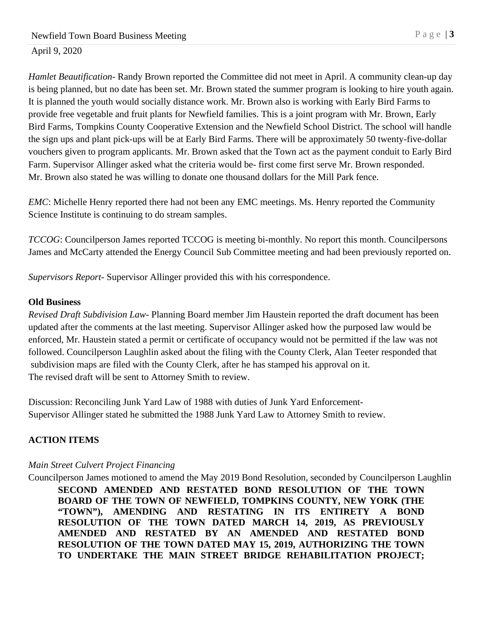*Hamlet Beautification*- Randy Brown reported the Committee did not meet in April. A community clean-up day is being planned, but no date has been set. Mr. Brown stated the summer program is looking to hire youth again. It is planned the youth would socially distance work. Mr. Brown also is working with Early Bird Farms to provide free vegetable and fruit plants for Newfield families. This is a joint program with Mr. Brown, Early Bird Farms, Tompkins County Cooperative Extension and the Newfield School District. The school will handle the sign ups and plant pick-ups will be at Early Bird Farms. There will be approximately 50 twenty-five-dollar vouchers given to program applicants. Mr. Brown asked that the Town act as the payment conduit to Early Bird Farm. Supervisor Allinger asked what the criteria would be- first come first serve Mr. Brown responded. Mr. Brown also stated he was willing to donate one thousand dollars for the Mill Park fence.

*EMC*: Michelle Henry reported there had not been any EMC meetings. Ms. Henry reported the Community Science Institute is continuing to do stream samples.

*TCCOG*: Councilperson James reported TCCOG is meeting bi-monthly. No report this month. Councilpersons James and McCarty attended the Energy Council Sub Committee meeting and had been previously reported on.

*Supervisors Report*- Supervisor Allinger provided this with his correspondence.

#### **Old Business**

*Revised Draft Subdivision Law*- Planning Board member Jim Haustein reported the draft document has been updated after the comments at the last meeting. Supervisor Allinger asked how the purposed law would be enforced, Mr. Haustein stated a permit or certificate of occupancy would not be permitted if the law was not followed. Councilperson Laughlin asked about the filing with the County Clerk, Alan Teeter responded that subdivision maps are filed with the County Clerk, after he has stamped his approval on it. The revised draft will be sent to Attorney Smith to review.

Discussion: Reconciling Junk Yard Law of 1988 with duties of Junk Yard Enforcement-Supervisor Allinger stated he submitted the 1988 Junk Yard Law to Attorney Smith to review.

#### **ACTION ITEMS**

#### *Main Street Culvert Project Financing*

Councilperson James motioned to amend the May 2019 Bond Resolution, seconded by Councilperson Laughlin **SECOND AMENDED AND RESTATED BOND RESOLUTION OF THE TOWN BOARD OF THE TOWN OF NEWFIELD, TOMPKINS COUNTY, NEW YORK (THE "TOWN"), AMENDING AND RESTATING IN ITS ENTIRETY A BOND RESOLUTION OF THE TOWN DATED MARCH 14, 2019, AS PREVIOUSLY AMENDED AND RESTATED BY AN AMENDED AND RESTATED BOND RESOLUTION OF THE TOWN DATED MAY 15, 2019, AUTHORIZING THE TOWN TO UNDERTAKE THE MAIN STREET BRIDGE REHABILITATION PROJECT;**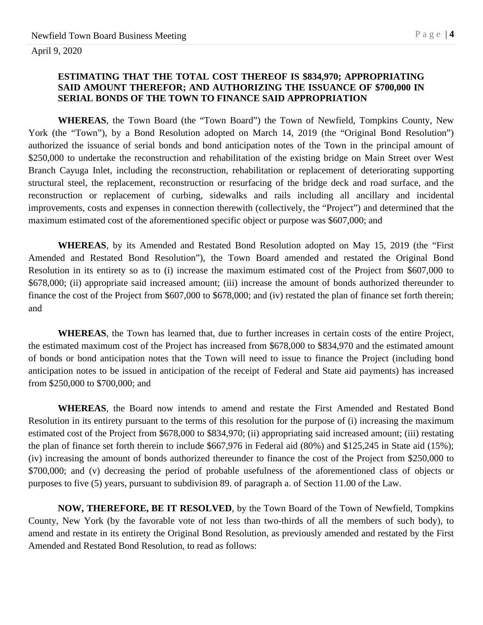#### **ESTIMATING THAT THE TOTAL COST THEREOF IS \$834,970; APPROPRIATING SAID AMOUNT THEREFOR; AND AUTHORIZING THE ISSUANCE OF \$700,000 IN SERIAL BONDS OF THE TOWN TO FINANCE SAID APPROPRIATION**

**WHEREAS**, the Town Board (the "Town Board") the Town of Newfield, Tompkins County, New York (the "Town"), by a Bond Resolution adopted on March 14, 2019 (the "Original Bond Resolution") authorized the issuance of serial bonds and bond anticipation notes of the Town in the principal amount of \$250,000 to undertake the reconstruction and rehabilitation of the existing bridge on Main Street over West Branch Cayuga Inlet, including the reconstruction, rehabilitation or replacement of deteriorating supporting structural steel, the replacement, reconstruction or resurfacing of the bridge deck and road surface, and the reconstruction or replacement of curbing, sidewalks and rails including all ancillary and incidental improvements, costs and expenses in connection therewith (collectively, the "Project") and determined that the maximum estimated cost of the aforementioned specific object or purpose was \$607,000; and

**WHEREAS**, by its Amended and Restated Bond Resolution adopted on May 15, 2019 (the "First Amended and Restated Bond Resolution"), the Town Board amended and restated the Original Bond Resolution in its entirety so as to (i) increase the maximum estimated cost of the Project from \$607,000 to \$678,000; (ii) appropriate said increased amount; (iii) increase the amount of bonds authorized thereunder to finance the cost of the Project from \$607,000 to \$678,000; and (iv) restated the plan of finance set forth therein; and

**WHEREAS**, the Town has learned that, due to further increases in certain costs of the entire Project, the estimated maximum cost of the Project has increased from \$678,000 to \$834,970 and the estimated amount of bonds or bond anticipation notes that the Town will need to issue to finance the Project (including bond anticipation notes to be issued in anticipation of the receipt of Federal and State aid payments) has increased from \$250,000 to \$700,000; and

**WHEREAS**, the Board now intends to amend and restate the First Amended and Restated Bond Resolution in its entirety pursuant to the terms of this resolution for the purpose of (i) increasing the maximum estimated cost of the Project from \$678,000 to \$834,970; (ii) appropriating said increased amount; (iii) restating the plan of finance set forth therein to include \$667,976 in Federal aid (80%) and \$125,245 in State aid (15%); (iv) increasing the amount of bonds authorized thereunder to finance the cost of the Project from \$250,000 to \$700,000; and (v) decreasing the period of probable usefulness of the aforementioned class of objects or purposes to five (5) years, pursuant to subdivision 89. of paragraph a. of Section 11.00 of the Law.

**NOW, THEREFORE, BE IT RESOLVED**, by the Town Board of the Town of Newfield, Tompkins County, New York (by the favorable vote of not less than two-thirds of all the members of such body), to amend and restate in its entirety the Original Bond Resolution, as previously amended and restated by the First Amended and Restated Bond Resolution, to read as follows: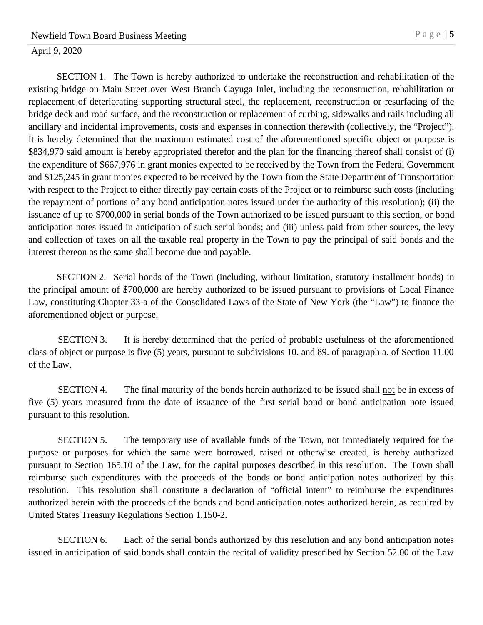SECTION 1. The Town is hereby authorized to undertake the reconstruction and rehabilitation of the existing bridge on Main Street over West Branch Cayuga Inlet, including the reconstruction, rehabilitation or replacement of deteriorating supporting structural steel, the replacement, reconstruction or resurfacing of the bridge deck and road surface, and the reconstruction or replacement of curbing, sidewalks and rails including all ancillary and incidental improvements, costs and expenses in connection therewith (collectively, the "Project"). It is hereby determined that the maximum estimated cost of the aforementioned specific object or purpose is \$834,970 said amount is hereby appropriated therefor and the plan for the financing thereof shall consist of (i) the expenditure of \$667,976 in grant monies expected to be received by the Town from the Federal Government and \$125,245 in grant monies expected to be received by the Town from the State Department of Transportation with respect to the Project to either directly pay certain costs of the Project or to reimburse such costs (including the repayment of portions of any bond anticipation notes issued under the authority of this resolution); (ii) the issuance of up to \$700,000 in serial bonds of the Town authorized to be issued pursuant to this section, or bond anticipation notes issued in anticipation of such serial bonds; and (iii) unless paid from other sources, the levy and collection of taxes on all the taxable real property in the Town to pay the principal of said bonds and the interest thereon as the same shall become due and payable.

SECTION 2. Serial bonds of the Town (including, without limitation, statutory installment bonds) in the principal amount of \$700,000 are hereby authorized to be issued pursuant to provisions of Local Finance Law, constituting Chapter 33-a of the Consolidated Laws of the State of New York (the "Law") to finance the aforementioned object or purpose.

SECTION 3. It is hereby determined that the period of probable usefulness of the aforementioned class of object or purpose is five (5) years, pursuant to subdivisions 10. and 89. of paragraph a. of Section 11.00 of the Law.

SECTION 4. The final maturity of the bonds herein authorized to be issued shall not be in excess of five (5) years measured from the date of issuance of the first serial bond or bond anticipation note issued pursuant to this resolution.

SECTION 5. The temporary use of available funds of the Town, not immediately required for the purpose or purposes for which the same were borrowed, raised or otherwise created, is hereby authorized pursuant to Section 165.10 of the Law, for the capital purposes described in this resolution. The Town shall reimburse such expenditures with the proceeds of the bonds or bond anticipation notes authorized by this resolution. This resolution shall constitute a declaration of "official intent" to reimburse the expenditures authorized herein with the proceeds of the bonds and bond anticipation notes authorized herein, as required by United States Treasury Regulations Section 1.150-2.

SECTION 6. Each of the serial bonds authorized by this resolution and any bond anticipation notes issued in anticipation of said bonds shall contain the recital of validity prescribed by Section 52.00 of the Law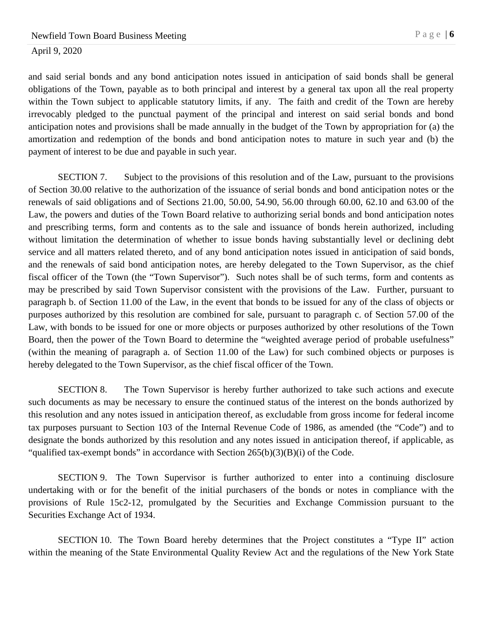and said serial bonds and any bond anticipation notes issued in anticipation of said bonds shall be general obligations of the Town, payable as to both principal and interest by a general tax upon all the real property within the Town subject to applicable statutory limits, if any. The faith and credit of the Town are hereby irrevocably pledged to the punctual payment of the principal and interest on said serial bonds and bond anticipation notes and provisions shall be made annually in the budget of the Town by appropriation for (a) the amortization and redemption of the bonds and bond anticipation notes to mature in such year and (b) the payment of interest to be due and payable in such year.

SECTION 7. Subject to the provisions of this resolution and of the Law, pursuant to the provisions of Section 30.00 relative to the authorization of the issuance of serial bonds and bond anticipation notes or the renewals of said obligations and of Sections 21.00, 50.00, 54.90, 56.00 through 60.00, 62.10 and 63.00 of the Law, the powers and duties of the Town Board relative to authorizing serial bonds and bond anticipation notes and prescribing terms, form and contents as to the sale and issuance of bonds herein authorized, including without limitation the determination of whether to issue bonds having substantially level or declining debt service and all matters related thereto, and of any bond anticipation notes issued in anticipation of said bonds, and the renewals of said bond anticipation notes, are hereby delegated to the Town Supervisor, as the chief fiscal officer of the Town (the "Town Supervisor"). Such notes shall be of such terms, form and contents as may be prescribed by said Town Supervisor consistent with the provisions of the Law. Further, pursuant to paragraph b. of Section 11.00 of the Law, in the event that bonds to be issued for any of the class of objects or purposes authorized by this resolution are combined for sale, pursuant to paragraph c. of Section 57.00 of the Law, with bonds to be issued for one or more objects or purposes authorized by other resolutions of the Town Board, then the power of the Town Board to determine the "weighted average period of probable usefulness" (within the meaning of paragraph a. of Section 11.00 of the Law) for such combined objects or purposes is hereby delegated to the Town Supervisor, as the chief fiscal officer of the Town.

SECTION 8. The Town Supervisor is hereby further authorized to take such actions and execute such documents as may be necessary to ensure the continued status of the interest on the bonds authorized by this resolution and any notes issued in anticipation thereof, as excludable from gross income for federal income tax purposes pursuant to Section 103 of the Internal Revenue Code of 1986, as amended (the "Code") and to designate the bonds authorized by this resolution and any notes issued in anticipation thereof, if applicable, as "qualified tax-exempt bonds" in accordance with Section  $265(b)(3)(B)(i)$  of the Code.

SECTION 9. The Town Supervisor is further authorized to enter into a continuing disclosure undertaking with or for the benefit of the initial purchasers of the bonds or notes in compliance with the provisions of Rule 15c2-12, promulgated by the Securities and Exchange Commission pursuant to the Securities Exchange Act of 1934.

SECTION 10. The Town Board hereby determines that the Project constitutes a "Type II" action within the meaning of the State Environmental Quality Review Act and the regulations of the New York State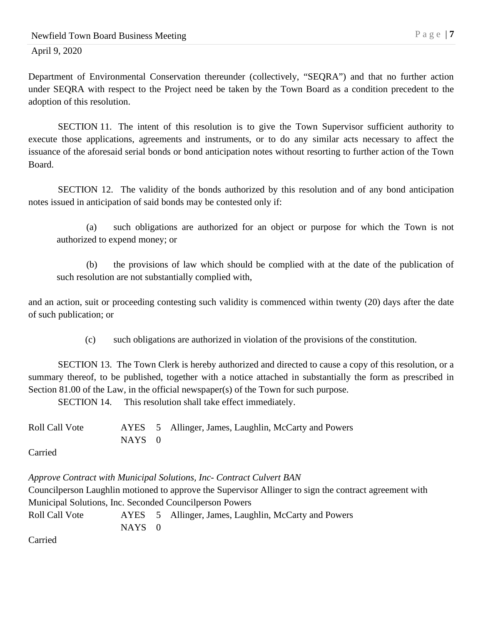Department of Environmental Conservation thereunder (collectively, "SEQRA") and that no further action under SEQRA with respect to the Project need be taken by the Town Board as a condition precedent to the adoption of this resolution.

SECTION 11. The intent of this resolution is to give the Town Supervisor sufficient authority to execute those applications, agreements and instruments, or to do any similar acts necessary to affect the issuance of the aforesaid serial bonds or bond anticipation notes without resorting to further action of the Town Board.

SECTION 12. The validity of the bonds authorized by this resolution and of any bond anticipation notes issued in anticipation of said bonds may be contested only if:

(a) such obligations are authorized for an object or purpose for which the Town is not authorized to expend money; or

(b) the provisions of law which should be complied with at the date of the publication of such resolution are not substantially complied with,

and an action, suit or proceeding contesting such validity is commenced within twenty (20) days after the date of such publication; or

(c) such obligations are authorized in violation of the provisions of the constitution.

SECTION 13. The Town Clerk is hereby authorized and directed to cause a copy of this resolution, or a summary thereof, to be published, together with a notice attached in substantially the form as prescribed in Section 81.00 of the Law, in the official newspaper(s) of the Town for such purpose.

SECTION 14. This resolution shall take effect immediately.

| Roll Call Vote |        | AYES 5 Allinger, James, Laughlin, McCarty and Powers |
|----------------|--------|------------------------------------------------------|
|                | NAYS 0 |                                                      |

Carried

*Approve Contract with Municipal Solutions, Inc- Contract Culvert BAN* Councilperson Laughlin motioned to approve the Supervisor Allinger to sign the contract agreement with Municipal Solutions, Inc. Seconded Councilperson Powers Roll Call Vote AYES 5 Allinger, James, Laughlin, McCarty and Powers NAYS 0

Carried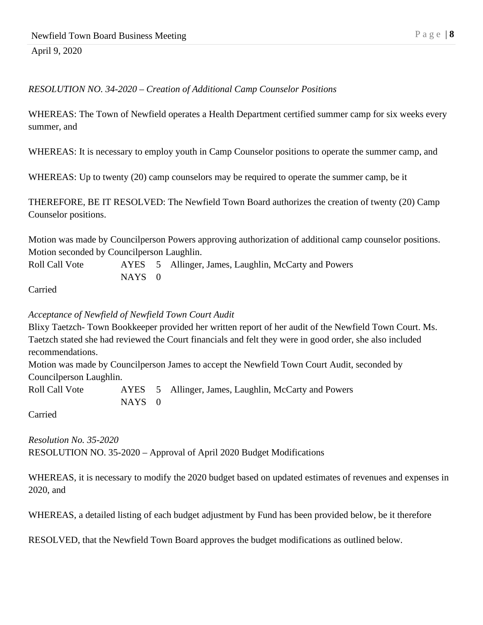## *RESOLUTION NO. 34-2020 – Creation of Additional Camp Counselor Positions*

WHEREAS: The Town of Newfield operates a Health Department certified summer camp for six weeks every summer, and

WHEREAS: It is necessary to employ youth in Camp Counselor positions to operate the summer camp, and

WHEREAS: Up to twenty (20) camp counselors may be required to operate the summer camp, be it

THEREFORE, BE IT RESOLVED: The Newfield Town Board authorizes the creation of twenty (20) Camp Counselor positions.

Motion was made by Councilperson Powers approving authorization of additional camp counselor positions. Motion seconded by Councilperson Laughlin.

Roll Call Vote AYES 5 Allinger, James, Laughlin, McCarty and Powers  $NAYS \t0$ 

Carried

#### *Acceptance of Newfield of Newfield Town Court Audit*

Blixy Taetzch- Town Bookkeeper provided her written report of her audit of the Newfield Town Court. Ms. Taetzch stated she had reviewed the Court financials and felt they were in good order, she also included recommendations.

Motion was made by Councilperson James to accept the Newfield Town Court Audit, seconded by Councilperson Laughlin.

Roll Call Vote AYES 5 Allinger, James, Laughlin, McCarty and Powers NAYS 0

Carried

*Resolution No. 35-2020* RESOLUTION NO. 35-2020 – Approval of April 2020 Budget Modifications

WHEREAS, it is necessary to modify the 2020 budget based on updated estimates of revenues and expenses in 2020, and

WHEREAS, a detailed listing of each budget adjustment by Fund has been provided below, be it therefore

RESOLVED, that the Newfield Town Board approves the budget modifications as outlined below.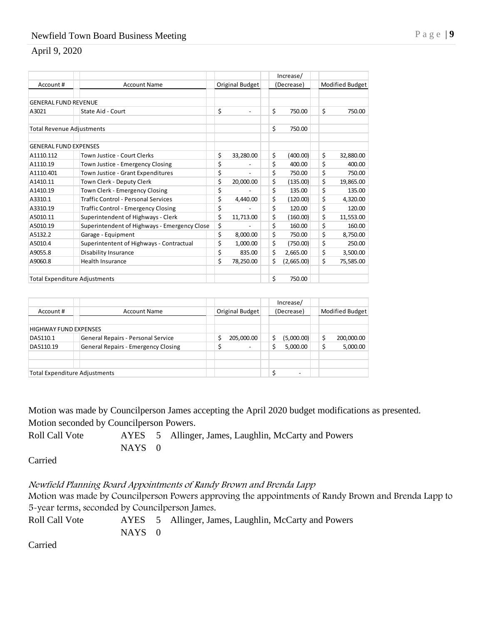|                                      |                                              |    |           | Increase/        |                 |           |
|--------------------------------------|----------------------------------------------|----|-----------|------------------|-----------------|-----------|
| Account#                             | Original Budget<br><b>Account Name</b>       |    |           | (Decrease)       | Modified Budget |           |
| <b>GENERAL FUND REVENUE</b>          |                                              |    |           |                  |                 |           |
| A3021                                | State Aid - Court                            | \$ |           | \$<br>750.00     | \$              | 750.00    |
| <b>Total Revenue Adjustments</b>     |                                              |    |           | \$<br>750.00     |                 |           |
|                                      |                                              |    |           |                  |                 |           |
| <b>GENERAL FUND EXPENSES</b>         |                                              |    |           |                  |                 |           |
| A1110.112                            | Town Justice - Court Clerks                  | \$ | 33,280.00 | \$<br>(400.00)   | \$              | 32,880.00 |
| A1110.19                             | Town Justice - Emergency Closing             | \$ |           | \$<br>400.00     | \$              | 400.00    |
| A1110.401                            | Town Justice - Grant Expenditures            | \$ |           | \$<br>750.00     | \$              | 750.00    |
| A1410.11                             | Town Clerk - Deputy Clerk                    | \$ | 20,000.00 | \$<br>(135.00)   | \$              | 19,865.00 |
| A1410.19                             | Town Clerk - Emergency Closing               | \$ |           | \$<br>135.00     | \$              | 135.00    |
| A3310.1                              | Traffic Control - Personal Services          | \$ | 4,440.00  | \$<br>(120.00)   | \$              | 4,320.00  |
| A3310.19                             | <b>Traffic Control - Emergency Closing</b>   | \$ |           | \$<br>120.00     | \$              | 120.00    |
| A5010.11                             | Superintendent of Highways - Clerk           | \$ | 11,713.00 | \$<br>(160.00)   | \$              | 11,553.00 |
| A5010.19                             | Superintendent of Highways - Emergency Close | \$ |           | \$<br>160.00     | \$              | 160.00    |
| A5132.2                              | Garage - Equipment                           | \$ | 8,000.00  | \$<br>750.00     | \$              | 8,750.00  |
| A5010.4                              | Superintentent of Highways - Contractual     | \$ | 1,000.00  | \$<br>(750.00)   | \$              | 250.00    |
| A9055.8                              | Disability Insurance                         | \$ | 835.00    | \$<br>2,665.00   | \$              | 3,500.00  |
| A9060.8                              | <b>Health Insurance</b>                      | \$ | 78,250.00 | \$<br>(2,665.00) | \$              | 75,585.00 |
| <b>Total Expenditure Adjustments</b> |                                              |    |           | \$<br>750.00     |                 |           |

| Account #                            | <b>Account Name</b>                 | Original Budget | Increase/<br>(Decrease) | Modified Budget |  |  |
|--------------------------------------|-------------------------------------|-----------------|-------------------------|-----------------|--|--|
| <b>HIGHWAY FUND EXPENSES</b>         |                                     |                 |                         |                 |  |  |
| DA5110.1                             | General Repairs - Personal Service  | 205,000.00      | (5,000.00)              | 200,000.00      |  |  |
| DA5110.19                            | General Repairs - Emergency Closing |                 | 5,000.00                | 5,000.00        |  |  |
|                                      |                                     |                 |                         |                 |  |  |
| <b>Total Expenditure Adjustments</b> |                                     |                 | -                       |                 |  |  |

Motion was made by Councilperson James accepting the April 2020 budget modifications as presented. Motion seconded by Councilperson Powers.

Roll Call Vote AYES 5 Allinger, James, Laughlin, McCarty and Powers NAYS 0

Carried

Newfield Planning Board Appointments of Randy Brown and Brenda Lapp

Motion was made by Councilperson Powers approving the appointments of Randy Brown and Brenda Lapp to 5-year terms, seconded by Councilperson James.

Roll Call Vote AYES 5 Allinger, James, Laughlin, McCarty and Powers NAYS 0

Carried